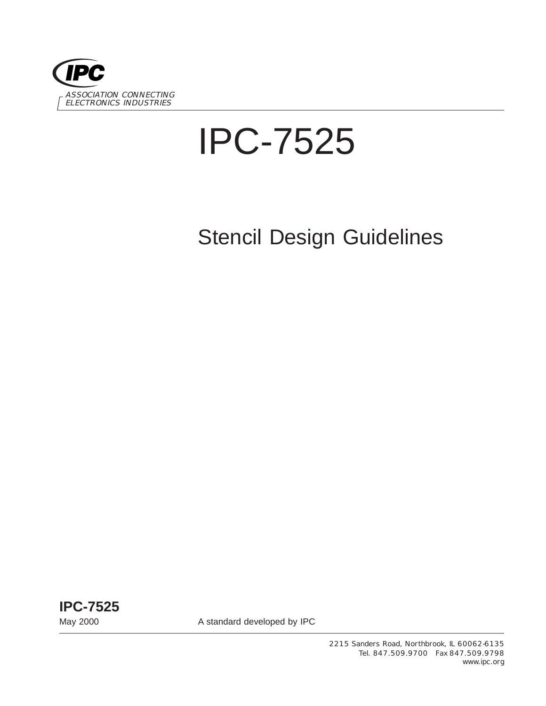

# IPC-7525

# Stencil Design Guidelines

**IPC-7525**

May 2000 **A standard developed by IPC** 

2215 Sanders Road, Northbrook, IL 60062-6135 Tel. 847.509.9700 Fax 847.509.9798 www.ipc.org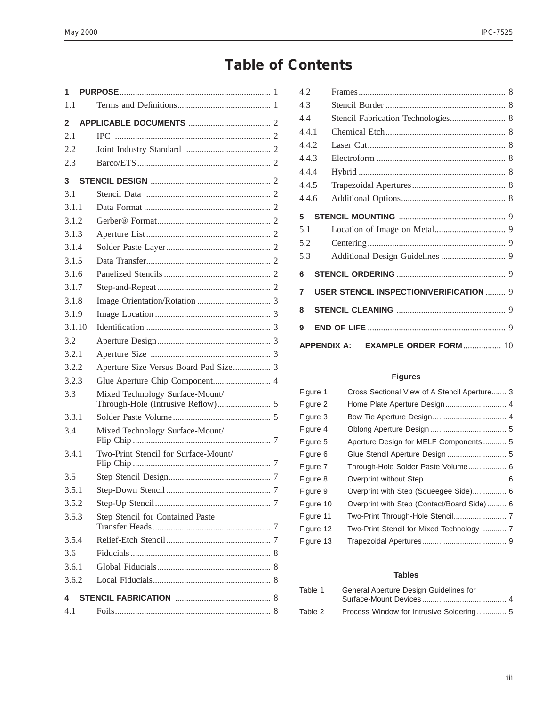## **Table of Contents**

| 1.1<br>$\mathbf{2}$<br>2.1                    |  |  |  |
|-----------------------------------------------|--|--|--|
|                                               |  |  |  |
|                                               |  |  |  |
|                                               |  |  |  |
| 2.2                                           |  |  |  |
| 2.3                                           |  |  |  |
| 3                                             |  |  |  |
| 3.1                                           |  |  |  |
| 3.1.1                                         |  |  |  |
| 3.1.2                                         |  |  |  |
| 3.1.3                                         |  |  |  |
| 3.1.4                                         |  |  |  |
| 3.1.5                                         |  |  |  |
| 3.1.6                                         |  |  |  |
| 3.1.7                                         |  |  |  |
| 3.1.8                                         |  |  |  |
| 3.1.9                                         |  |  |  |
| 3.1.10                                        |  |  |  |
| 3.2                                           |  |  |  |
| 3.2.1                                         |  |  |  |
| 3.2.2                                         |  |  |  |
| 3.2.3                                         |  |  |  |
| 3.3<br>Mixed Technology Surface-Mount/        |  |  |  |
| 3.3.1                                         |  |  |  |
| 3.4<br>Mixed Technology Surface-Mount/        |  |  |  |
| Two-Print Stencil for Surface-Mount/<br>3.4.1 |  |  |  |
| 3.5                                           |  |  |  |
| 3.5.1                                         |  |  |  |
| 3.5.2                                         |  |  |  |
| Step Stencil for Contained Paste<br>3.5.3     |  |  |  |
| 3.5.4                                         |  |  |  |
| 3.6                                           |  |  |  |
| 3.6.1                                         |  |  |  |
| 3.6.2                                         |  |  |  |
| 4                                             |  |  |  |
| 4.1                                           |  |  |  |

| 4.2   |                                                    |  |
|-------|----------------------------------------------------|--|
| 4.3   |                                                    |  |
| 4.4   |                                                    |  |
| 4.4.1 |                                                    |  |
| 4.4.2 |                                                    |  |
| 4.4.3 |                                                    |  |
| 4.4.4 |                                                    |  |
| 4.4.5 |                                                    |  |
| 4.4.6 |                                                    |  |
| 5     |                                                    |  |
| 5.1   |                                                    |  |
| 5.2   |                                                    |  |
| 5.3   |                                                    |  |
| 6     |                                                    |  |
| 7     | <b>USER STENCIL INSPECTION/VERIFICATION  9</b>     |  |
| 8     |                                                    |  |
| 9     |                                                    |  |
|       | <b>EXAMPLE ORDER FORM 10</b><br><b>APPENDIX A:</b> |  |

#### **Figures**

| Figure 1  | Cross Sectional View of A Stencil Aperture 3 |
|-----------|----------------------------------------------|
| Figure 2  |                                              |
| Figure 3  |                                              |
| Figure 4  |                                              |
| Figure 5  | Aperture Design for MELF Components 5        |
| Figure 6  |                                              |
| Figure 7  | Through-Hole Solder Paste Volume 6           |
| Figure 8  |                                              |
| Figure 9  | Overprint with Step (Squeegee Side) 6        |
| Figure 10 | Overprint with Step (Contact/Board Side) 6   |
| Figure 11 |                                              |
| Figure 12 | Two-Print Stencil for Mixed Technology  7    |
| Figure 13 |                                              |

#### **Tables**

| Table 1 | General Aperture Design Guidelines for |  |
|---------|----------------------------------------|--|
| Table 2 |                                        |  |